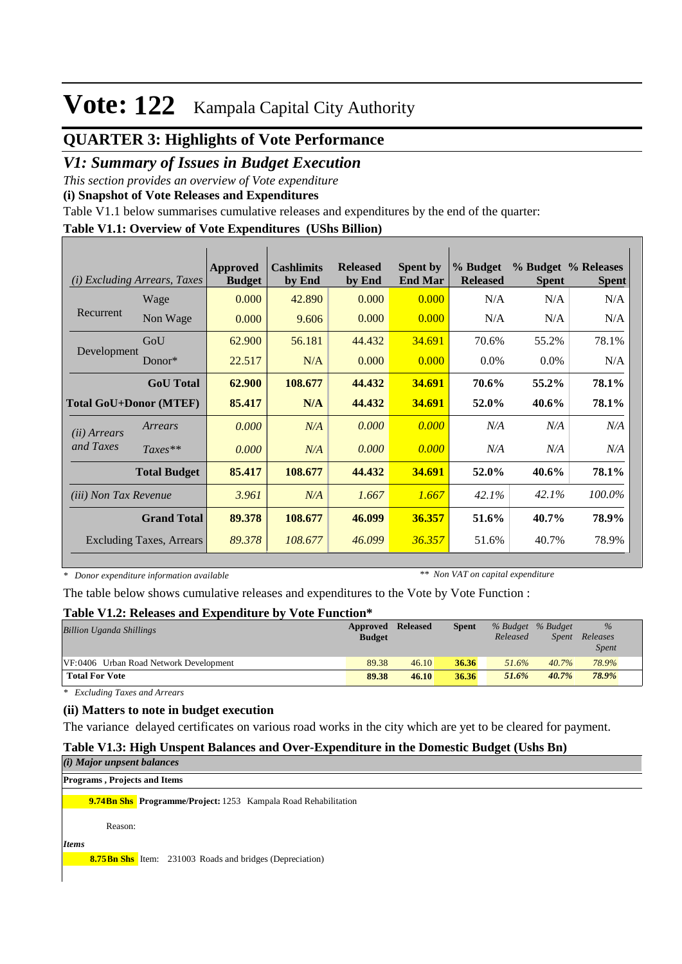## **QUARTER 3: Highlights of Vote Performance**

## *V1: Summary of Issues in Budget Execution*

*This section provides an overview of Vote expenditure* 

**(i) Snapshot of Vote Releases and Expenditures**

Table V1.1 below summarises cumulative releases and expenditures by the end of the quarter:

### **Table V1.1: Overview of Vote Expenditures (UShs Billion)**

| (i)                          | <i>Excluding Arrears, Taxes</i> | Approved<br><b>Budget</b> | <b>Cashlimits</b><br>by End | <b>Released</b><br>by End | <b>Spent by</b><br><b>End Mar</b> | % Budget<br><b>Released</b> | <b>Spent</b> | % Budget % Releases<br><b>Spent</b> |
|------------------------------|---------------------------------|---------------------------|-----------------------------|---------------------------|-----------------------------------|-----------------------------|--------------|-------------------------------------|
|                              | Wage                            | 0.000                     | 42.890                      | 0.000                     | 0.000                             | N/A                         | N/A          | N/A                                 |
| Recurrent                    | Non Wage                        | 0.000                     | 9.606                       | 0.000                     | 0.000                             | N/A                         | N/A          | N/A                                 |
|                              | GoU                             | 62.900                    | 56.181                      | 44.432                    | 34.691                            | 70.6%                       | 55.2%        | 78.1%                               |
| Development                  | $Donor*$                        | 22.517                    | N/A                         | 0.000                     | 0.000                             | $0.0\%$                     | $0.0\%$      | N/A                                 |
|                              | <b>GoU</b> Total                | 62.900                    | 108.677                     | 44.432                    | 34.691                            | 70.6%                       | 55.2%        | 78.1%                               |
|                              | <b>Total GoU+Donor (MTEF)</b>   | 85.417                    | N/A                         | 44.432                    | 34.691                            | 52.0%                       | 40.6%        | <b>78.1%</b>                        |
| ( <i>ii</i> ) Arrears        | Arrears                         | 0.000                     | N/A                         | 0.000                     | 0.000                             | N/A                         | N/A          | N/A                                 |
| and Taxes                    | $Taxes**$                       | 0.000                     | N/A                         | 0.000                     | 0.000                             | N/A                         | N/A          | N/A                                 |
|                              | <b>Total Budget</b>             | 85.417                    | 108.677                     | 44.432                    | 34.691                            | 52.0%                       | 40.6%        | 78.1%                               |
| <i>(iii)</i> Non Tax Revenue |                                 | 3.961                     | N/A                         | 1.667                     | 1.667                             | 42.1%                       | 42.1%        | 100.0%                              |
|                              | <b>Grand Total</b>              | 89.378                    | 108.677                     | 46.099                    | 36.357                            | 51.6%                       | 40.7%        | 78.9%                               |
|                              | <b>Excluding Taxes, Arrears</b> | 89.378                    | 108.677                     | 46.099                    | 36.357                            | 51.6%                       | 40.7%        | 78.9%                               |

*\* Donor expenditure information available*

*\*\* Non VAT on capital expenditure*

The table below shows cumulative releases and expenditures to the Vote by Vote Function :

#### **Table V1.2: Releases and Expenditure by Vote Function\***

| <b>Billion Uganda Shillings</b>        | <b>Approved Released</b><br><b>Budget</b> |       | <b>Spent</b> | % Budget % Budget<br>Released | Spent | $\%$<br>Releases<br><i>Spent</i> |
|----------------------------------------|-------------------------------------------|-------|--------------|-------------------------------|-------|----------------------------------|
| VF:0406 Urban Road Network Development | 89.38                                     | 46.10 | 36.36        | 51.6%                         | 40.7% | 78.9%                            |
| <b>Total For Vote</b>                  | 89.38                                     | 46.10 | 36.36        | 51.6%                         | 40.7% | 78.9%                            |

*\* Excluding Taxes and Arrears*

#### **(ii) Matters to note in budget execution**

The variance delayed certificates on various road works in the city which are yet to be cleared for payment.

## **Table V1.3: High Unspent Balances and Over-Expenditure in the Domestic Budget (Ushs Bn)**

|              | $(i)$ Major unpsent balances         |                                                                       |
|--------------|--------------------------------------|-----------------------------------------------------------------------|
|              | <b>Programs</b> , Projects and Items |                                                                       |
|              |                                      | <b>9.74Bn Shs</b> Programme/Project: 1253 Kampala Road Rehabilitation |
|              | Reason:                              |                                                                       |
| <i>Items</i> |                                      |                                                                       |
|              |                                      | <b>8.75 Bn Shs</b> Item: 231003 Roads and bridges (Depreciation)      |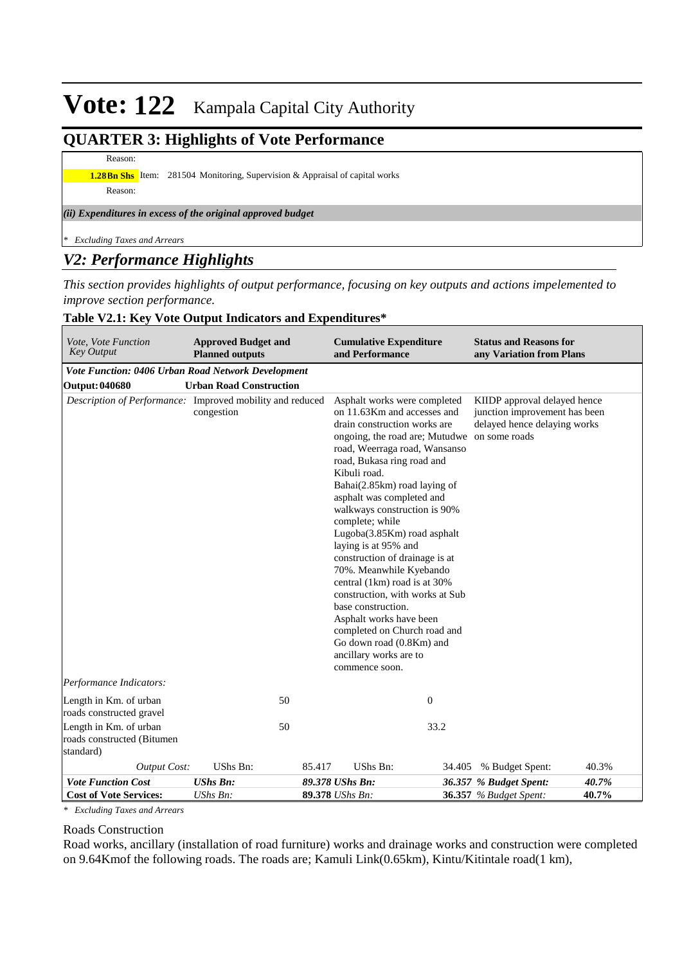## **QUARTER 3: Highlights of Vote Performance**

## Reason:

**1.28Bn Shs** Item: 281504 Monitoring, Supervision & Appraisal of capital works

Reason:

#### *(ii) Expenditures in excess of the original approved budget*

*\* Excluding Taxes and Arrears*

## *V2: Performance Highlights*

*This section provides highlights of output performance, focusing on key outputs and actions impelemented to improve section performance.*

## **Table V2.1: Key Vote Output Indicators and Expenditures\***

| Vote, Vote Function<br><b>Key Output</b>                          | <b>Approved Budget and</b><br><b>Planned outputs</b> |        | <b>Cumulative Expenditure</b><br>and Performance                                                                                                                                                                                                                                                                                                                                                                                                                                                                                                                                                                                                                                           | <b>Status and Reasons for</b><br>any Variation from Plans                                     |       |
|-------------------------------------------------------------------|------------------------------------------------------|--------|--------------------------------------------------------------------------------------------------------------------------------------------------------------------------------------------------------------------------------------------------------------------------------------------------------------------------------------------------------------------------------------------------------------------------------------------------------------------------------------------------------------------------------------------------------------------------------------------------------------------------------------------------------------------------------------------|-----------------------------------------------------------------------------------------------|-------|
| Vote Function: 0406 Urban Road Network Development                |                                                      |        |                                                                                                                                                                                                                                                                                                                                                                                                                                                                                                                                                                                                                                                                                            |                                                                                               |       |
| <b>Output: 040680</b>                                             | <b>Urban Road Construction</b>                       |        |                                                                                                                                                                                                                                                                                                                                                                                                                                                                                                                                                                                                                                                                                            |                                                                                               |       |
| Description of Performance: Improved mobility and reduced         | congestion                                           |        | Asphalt works were completed<br>on 11.63Km and accesses and<br>drain construction works are<br>ongoing, the road are; Mutudwe on some roads<br>road, Weerraga road, Wansanso<br>road, Bukasa ring road and<br>Kibuli road.<br>Bahai(2.85km) road laying of<br>asphalt was completed and<br>walkways construction is 90%<br>complete; while<br>Lugoba(3.85Km) road asphalt<br>laying is at 95% and<br>construction of drainage is at<br>70%. Meanwhile Kyebando<br>central (1km) road is at 30%<br>construction, with works at Sub<br>base construction.<br>Asphalt works have been<br>completed on Church road and<br>Go down road (0.8Km) and<br>ancillary works are to<br>commence soon. | KIIDP approval delayed hence<br>junction improvement has been<br>delayed hence delaying works |       |
| Performance Indicators:                                           |                                                      |        |                                                                                                                                                                                                                                                                                                                                                                                                                                                                                                                                                                                                                                                                                            |                                                                                               |       |
| Length in Km. of urban<br>roads constructed gravel                | 50                                                   |        | $\mathbf{0}$                                                                                                                                                                                                                                                                                                                                                                                                                                                                                                                                                                                                                                                                               |                                                                                               |       |
| Length in Km. of urban<br>roads constructed (Bitumen<br>standard) | 50                                                   |        | 33.2                                                                                                                                                                                                                                                                                                                                                                                                                                                                                                                                                                                                                                                                                       |                                                                                               |       |
| <b>Output Cost:</b>                                               | UShs Bn:                                             | 85.417 | UShs Bn:                                                                                                                                                                                                                                                                                                                                                                                                                                                                                                                                                                                                                                                                                   | 34.405 % Budget Spent:                                                                        | 40.3% |
| <b>Vote Function Cost</b>                                         | <b>UShs Bn:</b>                                      |        | 89.378 UShs Bn:                                                                                                                                                                                                                                                                                                                                                                                                                                                                                                                                                                                                                                                                            | 36.357 % Budget Spent:                                                                        | 40.7% |
| <b>Cost of Vote Services:</b>                                     | UShs Bn:                                             |        | 89.378 UShs Bn:                                                                                                                                                                                                                                                                                                                                                                                                                                                                                                                                                                                                                                                                            | <b>36.357</b> % Budget Spent:                                                                 | 40.7% |

*\* Excluding Taxes and Arrears*

## Roads Construction

Road works, ancillary (installation of road furniture) works and drainage works and construction were completed on 9.64Kmof the following roads. The roads are; Kamuli Link(0.65km), Kintu/Kitintale road(1 km),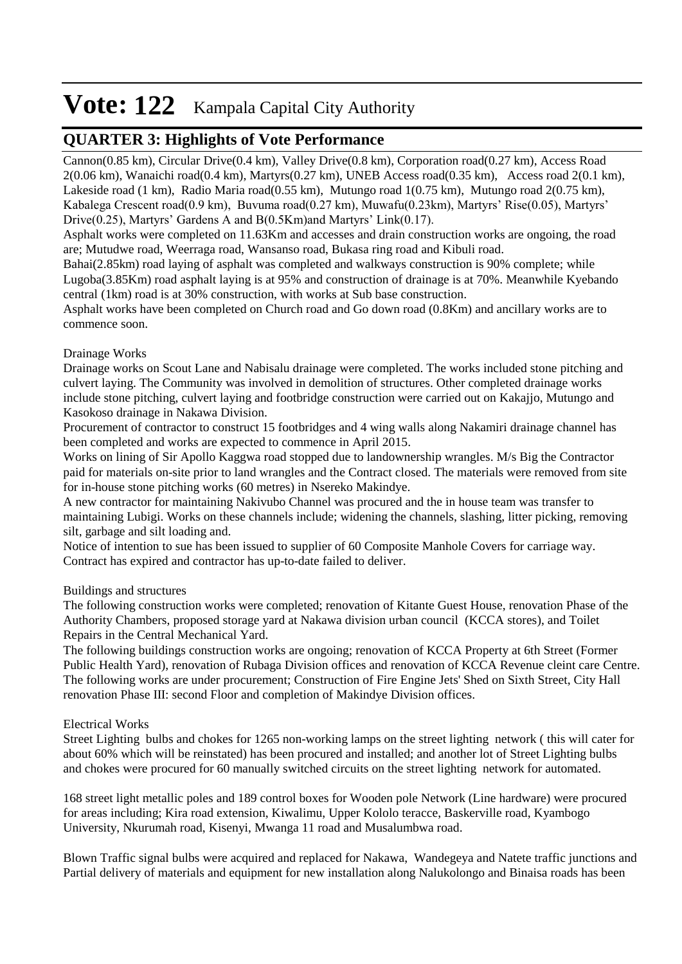## **QUARTER 3: Highlights of Vote Performance**

Cannon(0.85 km), Circular Drive(0.4 km), Valley Drive(0.8 km), Corporation road(0.27 km), Access Road 2(0.06 km), Wanaichi road(0.4 km), Martyrs(0.27 km), UNEB Access road(0.35 km), Access road 2(0.1 km), Lakeside road (1 km), Radio Maria road(0.55 km), Mutungo road 1(0.75 km), Mutungo road 2(0.75 km), Kabalega Crescent road(0.9 km), Buvuma road(0.27 km), Muwafu(0.23km), Martyrs' Rise(0.05), Martyrs' Drive(0.25), Martyrs' Gardens A and B(0.5Km)and Martyrs' Link(0.17).

Asphalt works were completed on 11.63Km and accesses and drain construction works are ongoing, the road are; Mutudwe road, Weerraga road, Wansanso road, Bukasa ring road and Kibuli road.

Bahai(2.85km) road laying of asphalt was completed and walkways construction is 90% complete; while Lugoba(3.85Km) road asphalt laying is at 95% and construction of drainage is at 70%. Meanwhile Kyebando central (1km) road is at 30% construction, with works at Sub base construction.

Asphalt works have been completed on Church road and Go down road (0.8Km) and ancillary works are to commence soon.

## Drainage Works

Drainage works on Scout Lane and Nabisalu drainage were completed. The works included stone pitching and culvert laying. The Community was involved in demolition of structures. Other completed drainage works include stone pitching, culvert laying and footbridge construction were carried out on Kakajjo, Mutungo and Kasokoso drainage in Nakawa Division.

Procurement of contractor to construct 15 footbridges and 4 wing walls along Nakamiri drainage channel has been completed and works are expected to commence in April 2015.

Works on lining of Sir Apollo Kaggwa road stopped due to landownership wrangles. M/s Big the Contractor paid for materials on-site prior to land wrangles and the Contract closed. The materials were removed from site for in-house stone pitching works (60 metres) in Nsereko Makindye.

A new contractor for maintaining Nakivubo Channel was procured and the in house team was transfer to maintaining Lubigi. Works on these channels include; widening the channels, slashing, litter picking, removing silt, garbage and silt loading and.

Notice of intention to sue has been issued to supplier of 60 Composite Manhole Covers for carriage way. Contract has expired and contractor has up-to-date failed to deliver.

## Buildings and structures

The following construction works were completed; renovation of Kitante Guest House, renovation Phase of the Authority Chambers, proposed storage yard at Nakawa division urban council (KCCA stores), and Toilet Repairs in the Central Mechanical Yard.

The following buildings construction works are ongoing; renovation of KCCA Property at 6th Street (Former Public Health Yard), renovation of Rubaga Division offices and renovation of KCCA Revenue cleint care Centre. The following works are under procurement; Construction of Fire Engine Jets' Shed on Sixth Street, City Hall renovation Phase III: second Floor and completion of Makindye Division offices.

## Electrical Works

Street Lighting bulbs and chokes for 1265 non-working lamps on the street lighting network ( this will cater for about 60% which will be reinstated) has been procured and installed; and another lot of Street Lighting bulbs and chokes were procured for 60 manually switched circuits on the street lighting network for automated.

168 street light metallic poles and 189 control boxes for Wooden pole Network (Line hardware) were procured for areas including; Kira road extension, Kiwalimu, Upper Kololo teracce, Baskerville road, Kyambogo University, Nkurumah road, Kisenyi, Mwanga 11 road and Musalumbwa road.

Blown Traffic signal bulbs were acquired and replaced for Nakawa, Wandegeya and Natete traffic junctions and Partial delivery of materials and equipment for new installation along Nalukolongo and Binaisa roads has been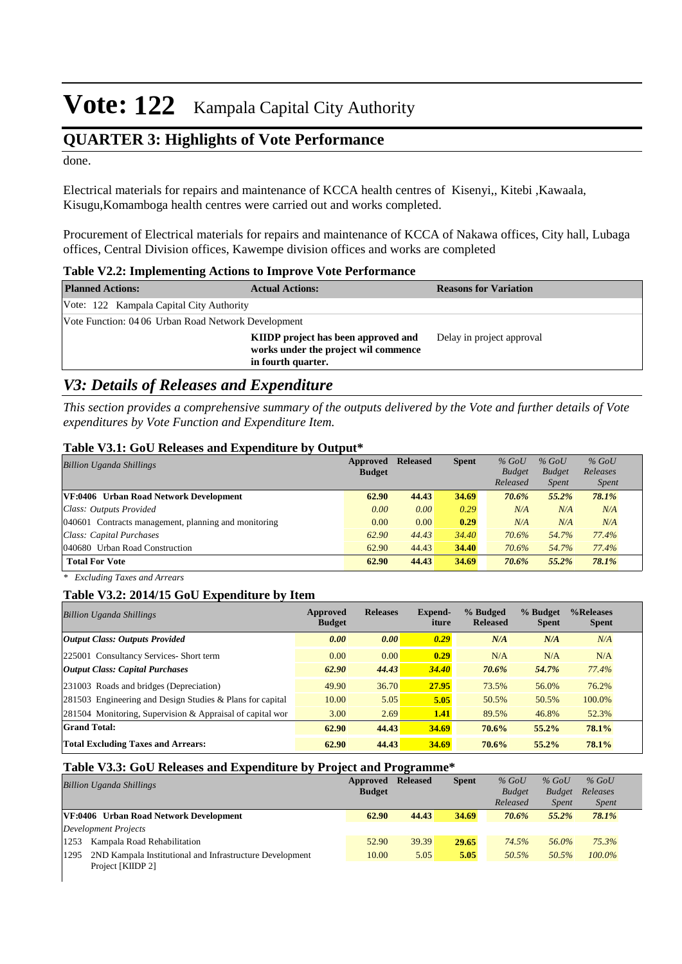## **QUARTER 3: Highlights of Vote Performance**

done.

Electrical materials for repairs and maintenance of KCCA health centres of Kisenyi,, Kitebi ,Kawaala, Kisugu,Komamboga health centres were carried out and works completed.

Procurement of Electrical materials for repairs and maintenance of KCCA of Nakawa offices, City hall, Lubaga offices, Central Division offices, Kawempe division offices and works are completed

|  |  |  |  |  |  |  | Table V2.2: Implementing Actions to Improve Vote Performance |
|--|--|--|--|--|--|--|--------------------------------------------------------------|
|--|--|--|--|--|--|--|--------------------------------------------------------------|

| <b>Planned Actions:</b>                             | <b>Actual Actions:</b>                                                                            | <b>Reasons for Variation</b> |
|-----------------------------------------------------|---------------------------------------------------------------------------------------------------|------------------------------|
| Vote: 122 Kampala Capital City Authority            |                                                                                                   |                              |
| Vote Function: 04 06 Urban Road Network Development |                                                                                                   |                              |
|                                                     | KIIDP project has been approved and<br>works under the project wil commence<br>in fourth quarter. | Delay in project approval    |

## *V3: Details of Releases and Expenditure*

*This section provides a comprehensive summary of the outputs delivered by the Vote and further details of Vote expenditures by Vote Function and Expenditure Item.*

#### **Table V3.1: GoU Releases and Expenditure by Output\***

| <b>Billion Uganda Shillings</b>                      | Approved      | <b>Released</b> | <b>Spent</b> | $%$ GoU       | $%$ GoU       | $%$ GoU      |  |
|------------------------------------------------------|---------------|-----------------|--------------|---------------|---------------|--------------|--|
|                                                      | <b>Budget</b> |                 |              | <b>Budget</b> | <b>Budget</b> | Releases     |  |
|                                                      |               |                 |              | Released      | <i>Spent</i>  | <i>Spent</i> |  |
| VF:0406 Urban Road Network Development               | 62.90         | 44.43           | 34.69        | 70.6%         | 55.2%         | 78.1%        |  |
| Class: Outputs Provided                              | 0.00          | 0.00            | 0.29         | N/A           | N/A           | N/A          |  |
| 040601 Contracts management, planning and monitoring | 0.00          | 0.00            | 0.29         | N/A           | N/A           | N/A          |  |
| Class: Capital Purchases                             | 62.90         | 44.43           | 34.40        | 70.6%         | 54.7%         | 77.4%        |  |
| 040680 Urban Road Construction                       | 62.90         | 44.43           | 34.40        | 70.6%         | 54.7%         | 77.4%        |  |
| <b>Total For Vote</b>                                | 62.90         | 44.43           | 34.69        | 70.6%         | 55.2%         | 78.1%        |  |

*\* Excluding Taxes and Arrears*

#### **Table V3.2: 2014/15 GoU Expenditure by Item**

| <b>Billion Uganda Shillings</b>                           | Approved<br><b>Budget</b> | <b>Releases</b> | Expend-<br>iture | % Budged<br><b>Released</b> | % Budget<br><b>Spent</b> | %Releases<br><b>Spent</b> |
|-----------------------------------------------------------|---------------------------|-----------------|------------------|-----------------------------|--------------------------|---------------------------|
| Output Class: Outputs Provided                            | 0.00                      | 0.00            | 0.29             | N/A                         | N/A                      | N/A                       |
| 225001 Consultancy Services- Short term                   | 0.00                      | 0.00            | 0.29             | N/A                         | N/A                      | N/A                       |
| <b>Output Class: Capital Purchases</b>                    | 62.90                     | 44.43           | 34.40            | 70.6%                       | 54.7%                    | 77.4%                     |
| 231003 Roads and bridges (Depreciation)                   | 49.90                     | 36.70           | 27.95            | 73.5%                       | 56.0%                    | 76.2%                     |
| 281503 Engineering and Design Studies & Plans for capital | 10.00                     | 5.05            | 5.05             | 50.5%                       | 50.5%                    | 100.0%                    |
| 281504 Monitoring, Supervision & Appraisal of capital wor | 3.00                      | 2.69            | 1.41             | 89.5%                       | 46.8%                    | 52.3%                     |
| <b>Grand Total:</b>                                       | 62.90                     | 44.43           | 34.69            | 70.6%                       | 55.2%                    | 78.1%                     |
| <b>Total Excluding Taxes and Arrears:</b>                 | 62.90                     | 44.43           | 34.69            | 70.6%                       | 55.2%                    | 78.1%                     |

#### **Table V3.3: GoU Releases and Expenditure by Project and Programme\***

| <b>Billion Uganda Shillings</b>                                  | Approved<br><b>Budget</b> | <b>Released</b> | <b>Spent</b> | $%$ GoU<br><b>Budget</b> | $%$ GoU<br><b>Budget</b> | $%$ GoU<br>Releases |  |
|------------------------------------------------------------------|---------------------------|-----------------|--------------|--------------------------|--------------------------|---------------------|--|
|                                                                  |                           |                 |              | Released                 | <i>Spent</i>             | <i>Spent</i>        |  |
| VF:0406 Urban Road Network Development                           | 62.90                     | 44.43           | 34.69        | 70.6%                    | $55.2\%$                 | 78.1%               |  |
| Development Projects                                             |                           |                 |              |                          |                          |                     |  |
| Kampala Road Rehabilitation<br>1253                              | 52.90                     | 39.39           | 29.65        | 74.5%                    | 56.0%                    | 75.3%               |  |
| 2ND Kampala Institutional and Infrastructure Development<br>1295 | 10.00                     | 5.05            | 5.05         | 50.5%                    | 50.5%                    | $100.0\%$           |  |
| Project [KIIDP 2]                                                |                           |                 |              |                          |                          |                     |  |
|                                                                  |                           |                 |              |                          |                          |                     |  |